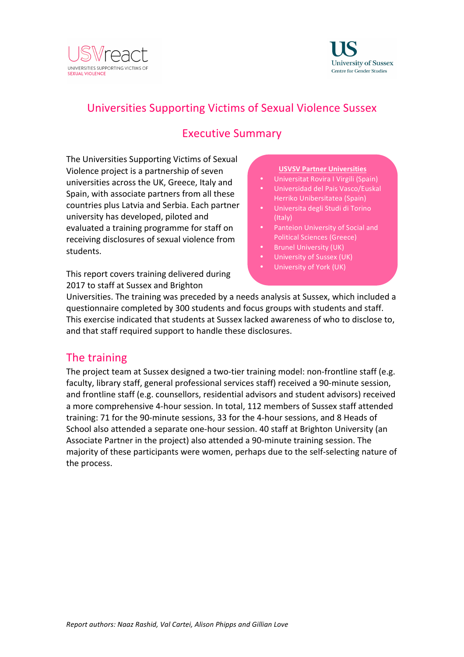



# Universities Supporting Victims of Sexual Violence Sussex

## **Executive Summary**

The Universities Supporting Victims of Sexual Violence project is a partnership of seven universities across the UK, Greece, Italy and Spain, with associate partners from all these countries plus Latvia and Serbia. Each partner university has developed, piloted and evaluated a training programme for staff on receiving disclosures of sexual violence from students. 

This report covers training delivered during 2017 to staff at Sussex and Brighton

#### **USVSV Partner Universities**

- Universitat Rovira I Virgili (Spain)
- Universidad del Pais Vasco/Euskal Herriko Unibersitatea (Spain)
- Universita degli Studi di Torino (Italy)
- Panteion University of Social and Political Sciences (Greece)
- **Brunel University (UK)**
- University of Sussex (UK)
- University of York (UK)

Universities. The training was preceded by a needs analysis at Sussex, which included a questionnaire completed by 300 students and focus groups with students and staff. This exercise indicated that students at Sussex lacked awareness of who to disclose to. and that staff required support to handle these disclosures.

### The training

The project team at Sussex designed a two-tier training model: non-frontline staff (e.g. faculty, library staff, general professional services staff) received a 90-minute session, and frontline staff (e.g. counsellors, residential advisors and student advisors) received a more comprehensive 4-hour session. In total, 112 members of Sussex staff attended training: 71 for the 90-minute sessions, 33 for the 4-hour sessions, and 8 Heads of School also attended a separate one-hour session. 40 staff at Brighton University (an Associate Partner in the project) also attended a 90-minute training session. The majority of these participants were women, perhaps due to the self-selecting nature of the process.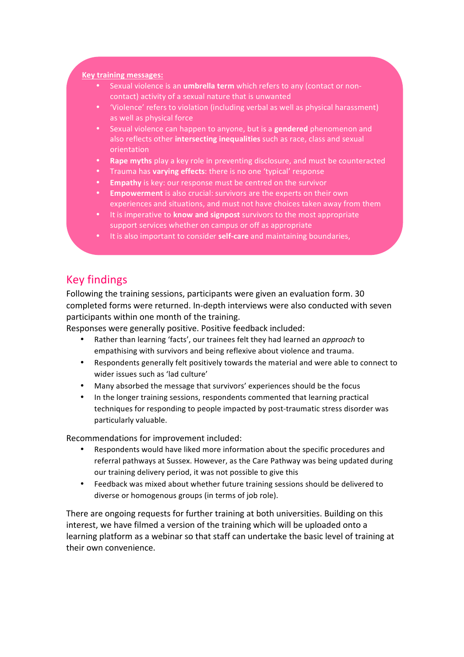#### **Key training messages:**

**Contract Contract** 

- Sexual violence is an *umbrella term* which refers to any (contact or noncontact) activity of a sexual nature that is unwanted
- 'Violence' refers to violation (including verbal as well as physical harassment) as well as physical force
- Sexual violence can happen to anyone, but is a **gendered** phenomenon and also reflects other *intersecting inequalities* such as race, class and sexual orientation
- **Rape myths** play a key role in preventing disclosure, and must be counteracted
- Trauma has **varying effects**: there is no one 'typical' response
- **Empathy** is key: our response must be centred on the survivor
- **Empowerment** is also crucial: survivors are the experts on their own experiences and situations, and must not have choices taken away from them
- It is imperative to **know and signpost** survivors to the most appropriate support services whether on campus or off as appropriate
- It is also important to consider **self-care** and maintaining boundaries,

## Key findings

Following the training sessions, participants were given an evaluation form. 30 completed forms were returned. In-depth interviews were also conducted with seven participants within one month of the training.

Responses were generally positive. Positive feedback included:

- Rather than learning 'facts', our trainees felt they had learned an *approach* to empathising with survivors and being reflexive about violence and trauma.
- Respondents generally felt positively towards the material and were able to connect to wider issues such as 'lad culture'
- Many absorbed the message that survivors' experiences should be the focus
- In the longer training sessions, respondents commented that learning practical techniques for responding to people impacted by post-traumatic stress disorder was particularly valuable.

Recommendations for improvement included:

- Respondents would have liked more information about the specific procedures and referral pathways at Sussex. However, as the Care Pathway was being updated during our training delivery period, it was not possible to give this
- Feedback was mixed about whether future training sessions should be delivered to diverse or homogenous groups (in terms of job role).

There are ongoing requests for further training at both universities. Building on this interest, we have filmed a version of the training which will be uploaded onto a learning platform as a webinar so that staff can undertake the basic level of training at their own convenience.